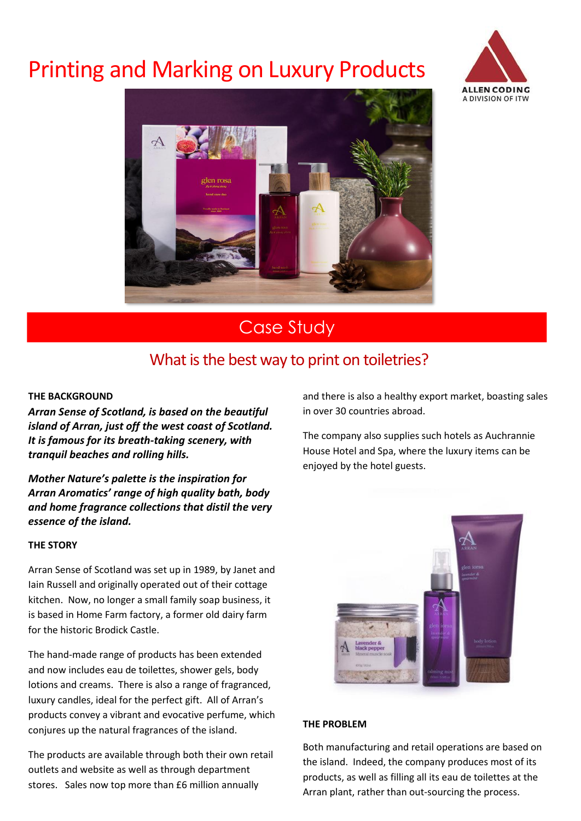# **Printing and Marking on Luxury Products**





## Case Study

### What is the best way to print on toiletries?

#### **THE BACKGROUND**

*Arran Sense of Scotland, is based on the beautiful island of Arran, just off the west coast of Scotland. It is famous for its breath-taking scenery, with tranquil beaches and rolling hills.*

*Mother Nature's palette is the inspiration for Arran Aromatics' range of high quality bath, body and home fragrance collections that distil the very essence of the island.*

#### **THE STORY**

Arran Sense of Scotland was set up in 1989, by Janet and Iain Russell and originally operated out of their cottage kitchen. Now, no longer a small family soap business, it is based in Home Farm factory, a former old dairy farm for the historic Brodick Castle.

The hand-made range of products has been extended and now includes eau de toilettes, shower gels, body lotions and creams. There is also a range of fragranced, luxury candles, ideal for the perfect gift. All of Arran's products convey a vibrant and evocative perfume, which conjures up the natural fragrances of the island.

The products are available through both their own retail outlets and website as well as through department stores. Sales now top more than £6 million annually

and there is also a healthy export market, boasting sales in over 30 countries abroad.

The company also supplies such hotels as Auchrannie House Hotel and Spa, where the luxury items can be enjoyed by the hotel guests.



#### **THE PROBLEM**

Both manufacturing and retail operations are based on the island. Indeed, the company produces most of its products, as well as filling all its eau de toilettes at the Arran plant, rather than out-sourcing the process.